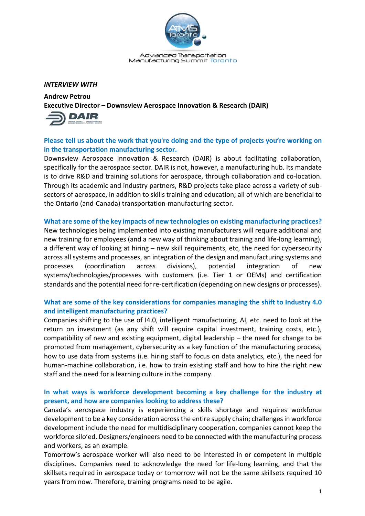

Advanced Transportation Manufacturing Summit Toronto

### *INTERVIEW WITH*

**Andrew Petrou Executive Director – Downsview Aerospace Innovation & Research (DAIR)**



# **Please tell us about the work that you're doing and the type of projects you're working on in the transportation manufacturing sector.**

Downsview Aerospace Innovation & Research (DAIR) is about facilitating collaboration, specifically for the aerospace sector. DAIR is not, however, a manufacturing hub. Its mandate is to drive R&D and training solutions for aerospace, through collaboration and co-location. Through its academic and industry partners, R&D projects take place across a variety of subsectors of aerospace, in addition to skills training and education; all of which are beneficial to the Ontario (and-Canada) transportation-manufacturing sector.

**What are some of the key impacts of new technologies on existing manufacturing practices?** New technologies being implemented into existing manufacturers will require additional and new training for employees (and a new way of thinking about training and life-long learning), a different way of looking at hiring – new skill requirements, etc, the need for cybersecurity across all systems and processes, an integration of the design and manufacturing systems and processes (coordination across divisions), potential integration of new systems/technologies/processes with customers (i.e. Tier 1 or OEMs) and certification standards and the potential need for re-certification (depending on new designs or processes).

# **What are some of the key considerations for companies managing the shift to Industry 4.0 and intelligent manufacturing practices?**

Companies shifting to the use of I4.0, intelligent manufacturing, AI, etc. need to look at the return on investment (as any shift will require capital investment, training costs, etc.), compatibility of new and existing equipment, digital leadership – the need for change to be promoted from management, cybersecurity as a key function of the manufacturing process, how to use data from systems (i.e. hiring staff to focus on data analytics, etc.), the need for human-machine collaboration, i.e. how to train existing staff and how to hire the right new staff and the need for a learning culture in the company.

# **In what ways is workforce development becoming a key challenge for the industry at present, and how are companies looking to address these?**

Canada's aerospace industry is experiencing a skills shortage and requires workforce development to be a key consideration across the entire supply chain; challenges in workforce development include the need for multidisciplinary cooperation, companies cannot keep the workforce silo'ed. Designers/engineers need to be connected with the manufacturing process and workers, as an example.

Tomorrow's aerospace worker will also need to be interested in or competent in multiple disciplines. Companies need to acknowledge the need for life-long learning, and that the skillsets required in aerospace today or tomorrow will not be the same skillsets required 10 years from now. Therefore, training programs need to be agile.